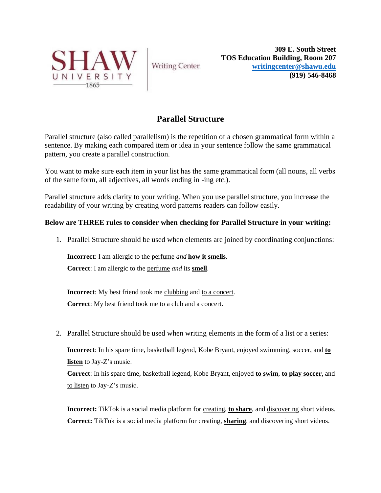

**Writing Center** 

**309 E. South Street TOS Education Building, Room 207 [writingcenter@shawu.edu](mailto:writingcenter@shawu.edu) (919) 546-8468**

## **Parallel Structure**

Parallel structure (also called parallelism) is the repetition of a chosen grammatical form within a sentence. By making each compared item or idea in your sentence follow the same grammatical pattern, you create a parallel construction.

You want to make sure each item in your list has the same grammatical form (all nouns, all verbs of the same form, all adjectives, all words ending in -ing etc.).

Parallel structure adds clarity to your writing. When you use parallel structure, you increase the readability of your writing by creating word patterns readers can follow easily.

## **Below are THREE rules to consider when checking for Parallel Structure in your writing:**

1. Parallel Structure should be used when elements are joined by coordinating conjunctions:

**Incorrect**: I am allergic to the perfume *and* **how it smells**.

**Correct**: I am allergic to the perfume *and* its **smell**.

**Incorrect**: My best friend took me clubbing and to a concert. **Correct:** My best friend took me to a club and a concert.

2. Parallel Structure should be used when writing elements in the form of a list or a series:

**Incorrect**: In his spare time, basketball legend, Kobe Bryant, enjoyed swimming, soccer, and **to listen** to Jay-Z's music.

**Correct**: In his spare time, basketball legend, Kobe Bryant, enjoyed **to swim**, **to play soccer**, and to listen to Jay-Z's music.

**Incorrect:** TikTok is a social media platform for creating, **to share**, and discovering short videos. **Correct:** TikTok is a social media platform for creating, **sharing**, and discovering short videos.